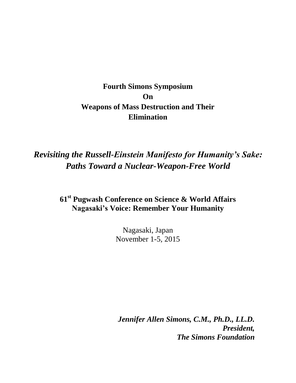## **Fourth Simons Symposium On Weapons of Mass Destruction and Their Elimination**

## *Revisiting the Russell-Einstein Manifesto for Humanity's Sake: Paths Toward a Nuclear-Weapon-Free World*

## **61st Pugwash Conference on Science & World Affairs Nagasaki's Voice: Remember Your Humanity**

Nagasaki, Japan November 1-5, 2015

*Jennifer Allen Simons, C.M., Ph.D., LL.D. President, The Simons Foundation*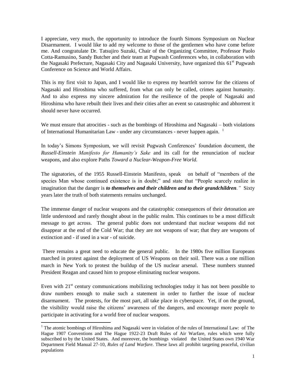I appreciate, very much, the opportunity to introduce the fourth Simons Symposium on Nuclear Disarmament. I would like to add my welcome to those of the gentlemen who have come before me. And congratulate Dr. Tatsujiro Suzuki, Chair of the Organizing Committee, Professor Paolo Cotta-Ramusino, Sandy Butcher and their team at Pugwash Conferences who, in collaboration with the Nagasaki Prefecture, Nagasaki City and Nagasaki University, have organized this 61<sup>st</sup> Pugwash Conference on Science and World Affairs.

This is my first visit to Japan, and I would like to express my heartfelt sorrow for the citizens of Nagasaki and Hiroshima who suffered, from what can only be called, crimes against humanity. And to also express my sincere admiration for the resilience of the people of Nagasaki and Hiroshima who have rebuilt their lives and their cities after an event so catastrophic and abhorrent it should never have occurred.

We must ensure that atrocities - such as the bombings of Hiroshima and Nagasaki – both violations of International Humanitarian Law - under any circumstances - never happen again. <sup>1</sup>

In today's Simons Symposium, we will revisit Pugwash Conferences' foundation document, the *Russell-Einstein Manifesto for Humanity's Sake* and its call for the renunciation of nuclear weapons, and also explore Paths *Toward a Nuclear-Weapon-Free World.*

The signatories, of the 1955 Russell-Einstein Manifesto, speak on behalf of "members of the species Man whose continued existence is in doubt;" and state that "People scarcely realize in imagination that the danger is *to themselves and their children and to their grandchildren."* Sixty years later the truth of both statements remains unchanged.

The immense danger of nuclear weapons and the catastrophic consequences of their detonation are little understood and rarely thought about in the public realm. This continues to be a most difficult message to get across. The general public does not understand that nuclear weapons did not disappear at the end of the Cold War; that they are not weapons of war; that they are weapons of extinction and - if used in a war - of suicide.

There remains a great need to educate the general public. In the 1980s five million Europeans marched in protest against the deployment of US Weapons on their soil. There was a one million march in New York to protest the buildup of the US nuclear arsenal. These numbers stunned President Reagan and caused him to propose eliminating nuclear weapons.

Even with 21<sup>st</sup> century communications mobilizing technologies today it has not been possible to draw numbers enough to make such a statement in order to further the issue of nuclear disarmament. The protests, for the most part, all take place in cyberspace. Yet, if on the ground, the visibility would raise the citizens' awareness of the dangers, and encourage more people to participate in activating for a world free of nuclear weapons.

<sup>&</sup>lt;sup>1</sup> The atomic bombings of Hiroshima and Nagasaki were in violation of the rules of International Law: of The Hague 1907 Conventions and The Hague 1922-23 Draft Rules of Air Warfare, rules which were fully subscribed to by the United States. And moreover, the bombings violated the United States own 1940 War Department Field Manual 27-10, *Rules of Land Warfare.* These laws all prohibit targeting peaceful, civilian populations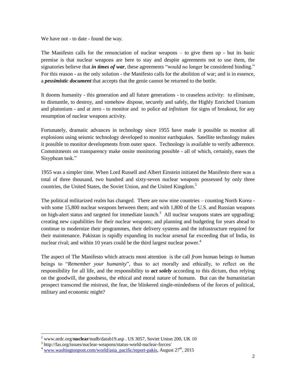We have not - to date - found the way.

The Manifesto calls for the renunciation of nuclear weapons – to give them up - but its basic premise is that nuclear weapons are here to stay and despite agreements not to use them, the signatories believe that *in times of war*, these agreements "would no longer be considered binding." For this reason - as the only solution - the Manifesto calls for the abolition of war; and is in essence, a *pessimistic document* that accepts that the genie cannot be returned to the bottle.

It dooms humanity - this generation and all future generations - to ceaseless activity: to eliminate, to dismantle, to destroy, and somehow dispose, securely and safely, the Highly Enriched Uranium and plutonium - and at zero - to monitor and to police *ad infinitum* for signs of breakout, for any resumption of nuclear weapons activity.

Fortunately, dramatic advances in technology since 1955 have made it possible to monitor all explosions using seismic technology developed to monitor earthquakes. Satellite technology makes it possible to monitor developments from outer space. Technology is available to verify adherence. Commitments on transparency make onsite monitoring possible - all of which, certainly, eases the Sisyphean task."

1955 was a simpler time. When Lord Russell and Albert Einstein initiated the Manifesto there was a total of three thousand, two hundred and sixty-seven nuclear weapons possessed by only three countries, the United States, the Soviet Union, and the United Kingdom.<sup>2</sup>

The political militarized realm has changed. There are now nine countries – counting North Korea with some 15,800 nuclear weapons between them; and with 1,800 of the U.S. and Russian weapons on high-alert status and targeted for immediate launch.<sup>3</sup> All nuclear weapons states are upgrading; creating new capabilities for their nuclear weapons; and planning and budgeting for years ahead to continue to modernize their programmes, their delivery systems and the infrastructure required for their maintenance. Pakistan is rapidly expanding its nuclear arsenal far exceeding that of India, its nuclear rival; and within 10 years could be the third largest nuclear power.<sup>4</sup>

The aspect of The Manifesto which attracts most attention is the call *from* human beings *to* human beings to "*Remember your humanity*", thus to act morally and ethically, to reflect on the responsibility for all life, and the responsibility to *act solely* according to this dictum, thus relying on the goodwill, the goodness, the ethical and moral nature of humans. But can the humanitarian prospect transcend the mistrust, the fear, the blinkered single-mindedness of the forces of political, military and economic might?

<sup>2</sup> www.nrdc.org/**nuclear**/nudb/datab19.asp . US 3057, Soviet Union 200, UK 10

<sup>3</sup> http://fas.org/issues/nuclear-weapons/status-world-nuclear-forces/

 $4$  [www.washingtonpost.com/world/asia\\_pacific/report-pakis,](http://www.washingtonpost.com/world/asia_pacific/report-pakis) August 27<sup>th</sup>, 2015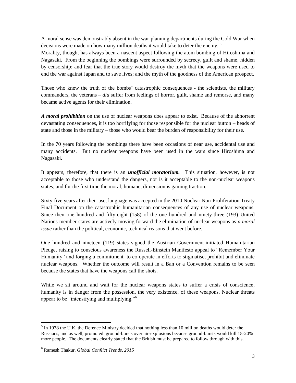A moral sense was demonstrably absent in the war-planning departments during the Cold War when decisions were made on how many million deaths it would take to deter the enemy.<sup>5</sup>

Morality, though, has always been a nascent aspect following the atom bombing of Hiroshima and Nagasaki. From the beginning the bombings were surrounded by secrecy, guilt and shame, hidden by censorship; and fear that the true story would destroy the myth that the weapons were used to end the war against Japan and to save lives; and the myth of the goodness of the American prospect.

Those who knew the truth of the bombs' catastrophic consequences - the scientists, the military commanders, the veterans – *did* suffer from feelings of horror, guilt, shame and remorse, and many became active agents for their elimination.

*A moral prohibition* on the use of nuclear weapons does appear to exist. Because of the abhorrent devastating consequences, it is too horrifying for those responsible for the nuclear button – heads of state and those in the military – those who would bear the burden of responsibility for their use.

In the 70 years following the bombings there have been occasions of near use, accidental use and many accidents. But no nuclear weapons have been used in the wars since Hiroshima and Nagasaki.

It appears, therefore, that there is an *unofficial moratorium.* This situation, however, is not acceptable to those who understand the dangers, nor is it acceptable to the non-nuclear weapons states; and for the first time the moral, humane, dimension is gaining traction.

Sixty-five years after their use, language was accepted in the 2010 Nuclear Non-Proliferation Treaty Final Document on the catastrophic humanitarian consequences of any use of nuclear weapons. Since then one hundred and fifty-eight (158) of the one hundred and ninety-three (193) United Nations member-states are actively moving forward the elimination of nuclear weapons as *a moral issue* rather than the political, economic, technical reasons that went before.

One hundred and nineteen (119) states signed the Austrian Government-initiated Humanitarian Pledge, raising to conscious awareness the Russell-Einstein Manifesto appeal to "Remember Your Humanity" and forging a commitment to co-operate in efforts to stigmatise, prohibit and eliminate nuclear weapons. Whether the outcome will result in a Ban or a Convention remains to be seen because the states that have the weapons call the shots.

While we sit around and wait for the nuclear weapons states to suffer a crisis of conscience, humanity is in danger from the possession, the very existence, of these weapons. Nuclear threats appear to be "intensifying and multiplying."<sup>6</sup>

 $<sup>5</sup>$  In 1978 the U.K. the Defence Ministry decided that nothing less than 10 million deaths would deter the</sup> Russians, and as well, promoted ground-bursts over air-explosions because ground-bursts would kill 15-20% more people. The documents clearly stated that the British must be prepared to follow through with this.

<sup>6</sup> Ramesh Thakur, *Global Conflict Trends, 2015*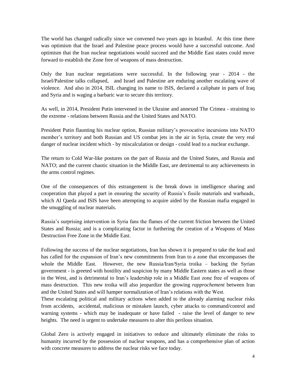The world has changed radically since we convened two years ago in Istanbul. At this time there was optimism that the Israel and Palestine peace process would have a successful outcome. And optimism that the Iran nuclear negotiations would succeed and the Middle East states could move forward to establish the Zone free of weapons of mass destruction.

Only the Iran nuclear negotiations were successful. In the following year - 2014 - the Israel/Palestine talks collapsed, and Israel and Palestine are enduring another escalating wave of violence. And also in 2014, ISIL changing its name to ISIS, declared a caliphate in parts of Iraq and Syria and is waging a barbaric war to secure this territory.

As well, in 2014, President Putin intervened in the Ukraine and annexed The Crimea - straining to the extreme - relations between Russia and the United States and NATO.

President Putin flaunting his nuclear option, Russian military's provocative incursions into NATO member's territory and both Russian and US combat jets in the air in Syria, create the very real danger of nuclear incident which - by miscalculation or design - could lead to a nuclear exchange.

The return to Cold War-like postures on the part of Russia and the United States, and Russia and NATO; and the current chaotic situation in the Middle East, are detrimental to any achievements in the arms control regimes.

One of the consequences of this estrangement is the break down in intelligence sharing and cooperation that played a part in ensuring the security of Russia's fissile materials and warheads, which Al Qaeda and ISIS have been attempting to acquire aided by the Russian mafia engaged in the smuggling of nuclear materials.

Russia's surprising intervention in Syria fans the flames of the current friction between the United States and Russia; and is a complicating factor in furthering the creation of a Weapons of Mass Destruction Free Zone in the Middle East.

Following the success of the nuclear negotiations, Iran has shown it is prepared to take the lead and has called for the expansion of Iran's new commitments from Iran to a zone that encompasses the whole the Middle East. However, the new Russia/Iran/Syria troika – backing the Syrian government - is greeted with hostility and suspicion by many Middle Eastern states as well as those in the West, and is detrimental to Iran's leadership role in a Middle East zone free of weapons of mass destruction. This new troika will also jeopardize the growing *rapprochement* between Iran and the United States and will hamper normalization of Iran's relations with the West.

These escalating political and military actions when added to the already alarming nuclear risks from accidents, accidental, malicious or mistaken launch, cyber attacks to command/control and warning systems - which may be inadequate or have failed - raise the level of danger to new heights. The need is urgent to undertake measures to alter this perilous situation.

Global Zero is actively engaged in initiatives to reduce and ultimately eliminate the risks to humanity incurred by the possession of nuclear weapons, and has a comprehensive plan of action with concrete measures to address the nuclear risks we face today.